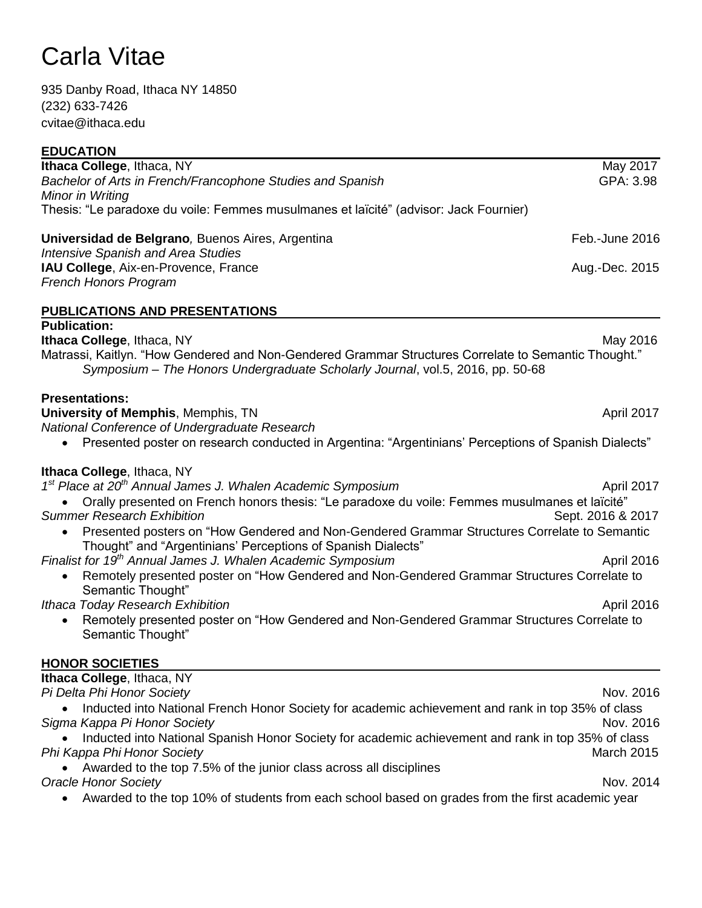935 Danby Road, Ithaca NY 14850 (232) 633-7426 cvitae@ithaca.edu

| <b>EDUCATION</b>                                                                                                                             |                   |
|----------------------------------------------------------------------------------------------------------------------------------------------|-------------------|
| Ithaca College, Ithaca, NY                                                                                                                   | May 2017          |
| Bachelor of Arts in French/Francophone Studies and Spanish<br>Minor in Writing                                                               | GPA: 3.98         |
| Thesis: "Le paradoxe du voile: Femmes musulmanes et laïcité" (advisor: Jack Fournier)                                                        |                   |
| Universidad de Belgrano, Buenos Aires, Argentina                                                                                             | Feb.-June 2016    |
| <b>Intensive Spanish and Area Studies</b>                                                                                                    |                   |
| IAU College, Aix-en-Provence, France                                                                                                         | Aug.-Dec. 2015    |
| <b>French Honors Program</b>                                                                                                                 |                   |
| <b>PUBLICATIONS AND PRESENTATIONS</b>                                                                                                        |                   |
| <b>Publication:</b>                                                                                                                          |                   |
| Ithaca College, Ithaca, NY<br>"Matrassi, Kaitlyn. "How Gendered and Non-Gendered Grammar Structures Correlate to Semantic Thought.           | May 2016          |
| Symposium - The Honors Undergraduate Scholarly Journal, vol.5, 2016, pp. 50-68                                                               |                   |
| <b>Presentations:</b>                                                                                                                        |                   |
| <b>University of Memphis, Memphis, TN</b>                                                                                                    | April 2017        |
| National Conference of Undergraduate Research                                                                                                |                   |
| Presented poster on research conducted in Argentina: "Argentinians' Perceptions of Spanish Dialects"                                         |                   |
| Ithaca College, Ithaca, NY                                                                                                                   |                   |
| 1 <sup>st</sup> Place at 20 <sup>th</sup> Annual James J. Whalen Academic Symposium                                                          | April 2017        |
| Orally presented on French honors thesis: "Le paradoxe du voile: Femmes musulmanes et laïcité"                                               |                   |
| <b>Summer Research Exhibition</b><br>Presented posters on "How Gendered and Non-Gendered Grammar Structures Correlate to Semantic            | Sept. 2016 & 2017 |
| Thought" and "Argentinians' Perceptions of Spanish Dialects"                                                                                 |                   |
| Finalist for 19th Annual James J. Whalen Academic Symposium                                                                                  | April 2016        |
| Remotely presented poster on "How Gendered and Non-Gendered Grammar Structures Correlate to                                                  |                   |
| Semantic Thought"                                                                                                                            |                   |
| Ithaca Today Research Exhibition<br>Remotely presented poster on "How Gendered and Non-Gendered Grammar Structures Correlate to<br>$\bullet$ | April 2016        |
| Semantic Thought"                                                                                                                            |                   |
| <b>HONOR SOCIETIES</b>                                                                                                                       |                   |
| Ithaca College, Ithaca, NY                                                                                                                   |                   |
| Pi Delta Phi Honor Society                                                                                                                   | Nov. 2016         |
| Inducted into National French Honor Society for academic achievement and rank in top 35% of class                                            |                   |
| Sigma Kappa Pi Honor Society                                                                                                                 | Nov. 2016         |
| Inducted into National Spanish Honor Society for academic achievement and rank in top 35% of class<br>Phi Kappa Phi Honor Society            | <b>March 2015</b> |
| Awarded to the top 7.5% of the junior class across all disciplines                                                                           |                   |
| <b>Oracle Honor Society</b>                                                                                                                  | Nov. 2014         |
| Awarded to the top 10% of students from each school based on grades from the first academic year                                             |                   |
|                                                                                                                                              |                   |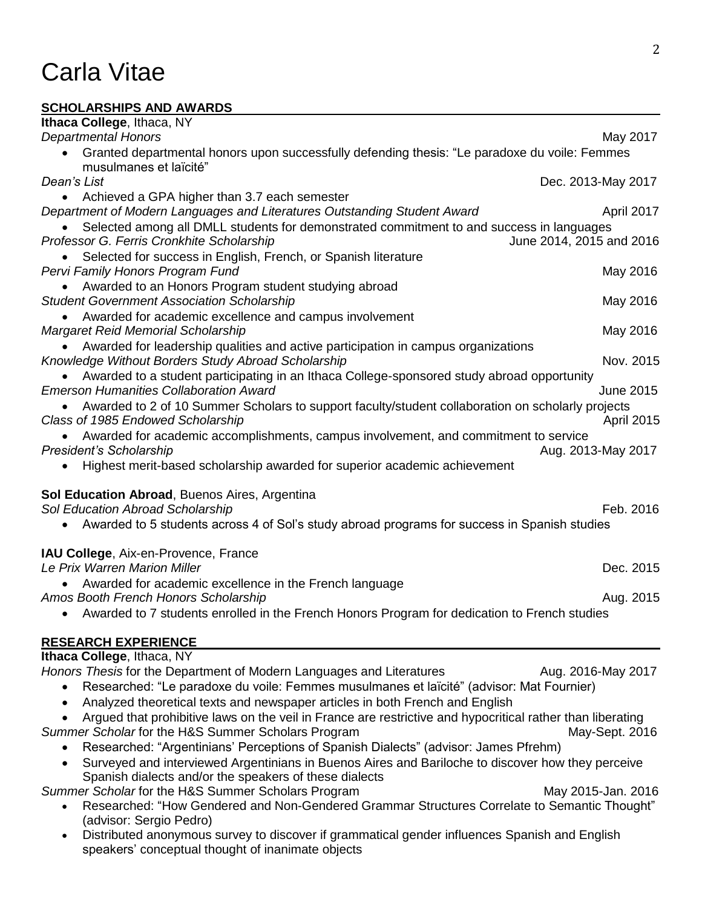#### **SCHOLARSHIPS AND AWARDS**

| Ithaca College, Ithaca, NY                                                                                 |                    |
|------------------------------------------------------------------------------------------------------------|--------------------|
| <b>Departmental Honors</b>                                                                                 | May 2017           |
| Granted departmental honors upon successfully defending thesis: "Le paradoxe du voile: Femmes              |                    |
| musulmanes et laïcité"                                                                                     |                    |
| Dean's List                                                                                                | Dec. 2013-May 2017 |
| Achieved a GPA higher than 3.7 each semester                                                               |                    |
| Department of Modern Languages and Literatures Outstanding Student Award                                   | April 2017         |
| Selected among all DMLL students for demonstrated commitment to and success in languages                   |                    |
| Professor G. Ferris Cronkhite Scholarship<br>June 2014, 2015 and 2016                                      |                    |
| Selected for success in English, French, or Spanish literature                                             |                    |
| Pervi Family Honors Program Fund                                                                           | May 2016           |
| Awarded to an Honors Program student studying abroad                                                       |                    |
| <b>Student Government Association Scholarship</b>                                                          | May 2016           |
| Awarded for academic excellence and campus involvement                                                     |                    |
| <b>Margaret Reid Memorial Scholarship</b>                                                                  | May 2016           |
| Awarded for leadership qualities and active participation in campus organizations                          |                    |
| Knowledge Without Borders Study Abroad Scholarship                                                         | Nov. 2015          |
| Awarded to a student participating in an Ithaca College-sponsored study abroad opportunity                 |                    |
| <b>Emerson Humanities Collaboration Award</b>                                                              | <b>June 2015</b>   |
| Awarded to 2 of 10 Summer Scholars to support faculty/student collaboration on scholarly projects          |                    |
| Class of 1985 Endowed Scholarship                                                                          | <b>April 2015</b>  |
| Awarded for academic accomplishments, campus involvement, and commitment to service                        |                    |
| President's Scholarship                                                                                    |                    |
|                                                                                                            | Aug. 2013-May 2017 |
| Highest merit-based scholarship awarded for superior academic achievement                                  |                    |
| <b>Sol Education Abroad, Buenos Aires, Argentina</b>                                                       |                    |
| Sol Education Abroad Scholarship                                                                           | Feb. 2016          |
| Awarded to 5 students across 4 of Sol's study abroad programs for success in Spanish studies               |                    |
|                                                                                                            |                    |
| IAU College, Aix-en-Provence, France                                                                       |                    |
| Le Prix Warren Marion Miller                                                                               | Dec. 2015          |
| Awarded for academic excellence in the French language                                                     |                    |
| Amos Booth French Honors Scholarship                                                                       | Aug. 2015          |
| Awarded to 7 students enrolled in the French Honors Program for dedication to French studies               |                    |
|                                                                                                            |                    |
| <b>RESEARCH EXPERIENCE</b>                                                                                 |                    |
| Ithaca College, Ithaca, NY                                                                                 |                    |
| Honors Thesis for the Department of Modern Languages and Literatures                                       | Aug. 2016-May 2017 |
| Researched: "Le paradoxe du voile: Femmes musulmanes et laïcité" (advisor: Mat Fournier)                   |                    |
| Analyzed theoretical texts and newspaper articles in both French and English                               |                    |
| Argued that prohibitive laws on the veil in France are restrictive and hypocritical rather than liberating |                    |
| Summer Scholar for the H&S Summer Scholars Program                                                         | May-Sept. 2016     |
| Researched: "Argentinians' Perceptions of Spanish Dialects" (advisor: James Pfrehm)                        |                    |
| Surveyed and interviewed Argentinians in Buenos Aires and Bariloche to discover how they perceive          |                    |
| Spanish dialects and/or the speakers of these dialects                                                     |                    |
| Summer Scholar for the H&S Summer Scholars Program                                                         | May 2015-Jan. 2016 |
| Researched: "How Gendered and Non-Gendered Grammar Structures Correlate to Semantic Thought"               |                    |
| (advisor: Sergio Pedro)                                                                                    |                    |
| Distributed anonymous survey to discover if grammatical gender influences Spanish and English              |                    |
| speakers' conceptual thought of inanimate objects                                                          |                    |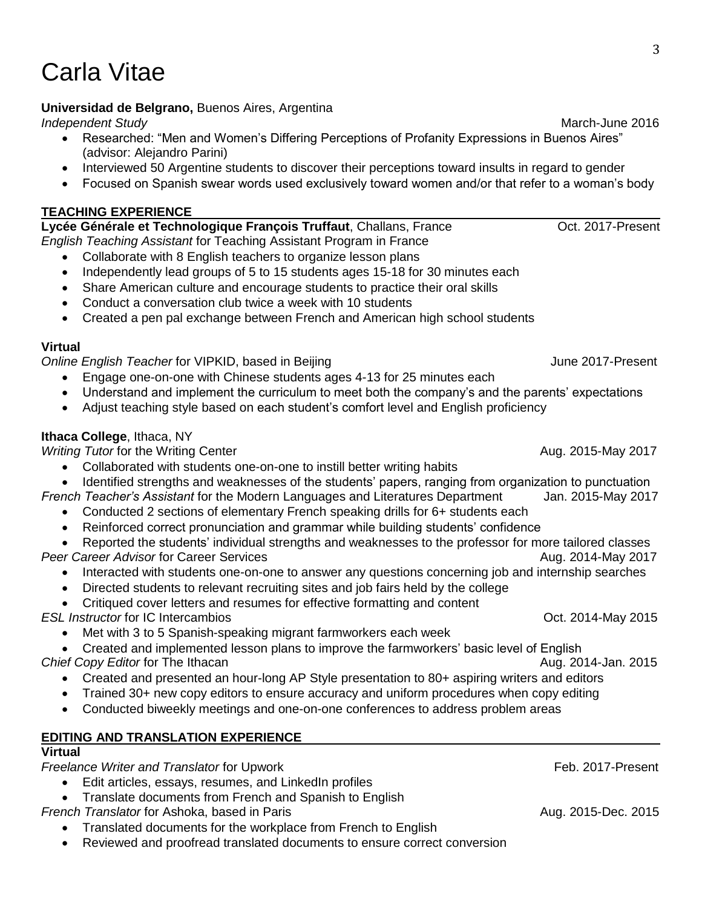#### **Universidad de Belgrano,** Buenos Aires, Argentina

*Independent Study* March-June 2016

- Researched: "Men and Women's Differing Perceptions of Profanity Expressions in Buenos Aires" (advisor: Alejandro Parini)
- Interviewed 50 Argentine students to discover their perceptions toward insults in regard to gender
- Focused on Spanish swear words used exclusively toward women and/or that refer to a woman's body

#### **TEACHING EXPERIENCE**

Lycée Générale et Technologique François Truffaut, Challans, France **Calcula de Contracteur** Oct. 2017-Present *English Teaching Assistant* for Teaching Assistant Program in France

- Collaborate with 8 English teachers to organize lesson plans
- Independently lead groups of 5 to 15 students ages 15-18 for 30 minutes each
- Share American culture and encourage students to practice their oral skills
- Conduct a conversation club twice a week with 10 students
- Created a pen pal exchange between French and American high school students

#### **Virtual**

**Online English Teacher for VIPKID, based in Beijing Community Community Community Community Community Community** 

- Engage one-on-one with Chinese students ages 4-13 for 25 minutes each
- Understand and implement the curriculum to meet both the company's and the parents' expectations
- Adjust teaching style based on each student's comfort level and English proficiency

#### **Ithaca College**, Ithaca, NY

*Writing Tutor* for the Writing Center Aug. 2015-May 2017

- Collaborated with students one-on-one to instill better writing habits
- Identified strengths and weaknesses of the students' papers, ranging from organization to punctuation
- *French Teacher's Assistant* for the Modern Languages and Literatures Department Jan. 2015-May 2017
	- Conducted 2 sections of elementary French speaking drills for 6+ students each
	- Reinforced correct pronunciation and grammar while building students' confidence
- Reported the students' individual strengths and weaknesses to the professor for more tailored classes **Peer Career Advisor for Career Services Aug. 2014-May 2017** Aug. 2014-May 2017
	- Interacted with students one-on-one to answer any questions concerning job and internship searches
	- Directed students to relevant recruiting sites and job fairs held by the college
	- Critiqued cover letters and resumes for effective formatting and content

**ESL Instructor for IC Intercambios COLL 2014-May 2015** 

Met with 3 to 5 Spanish-speaking migrant farmworkers each week

 Created and implemented lesson plans to improve the farmworkers' basic level of English **Chief Copy Editor for The Ithacan Aug. 2014-Jan. 2015** 

- Created and presented an hour-long AP Style presentation to 80+ aspiring writers and editors
- Trained 30+ new copy editors to ensure accuracy and uniform procedures when copy editing
- Conducted biweekly meetings and one-on-one conferences to address problem areas

### **EDITING AND TRANSLATION EXPERIENCE**

#### **Virtual**

**Freelance Writer and Translator for Upwork Freelance Structure 10 and Translator** for Upwork

- Edit articles, essays, resumes, and LinkedIn profiles
- Translate documents from French and Spanish to English
- **French Translator for Ashoka, based in Paris Aug. 2015-Dec. 2015-Dec. 2015-Dec. 2015** 
	- Translated documents for the workplace from French to English
	- Reviewed and proofread translated documents to ensure correct conversion